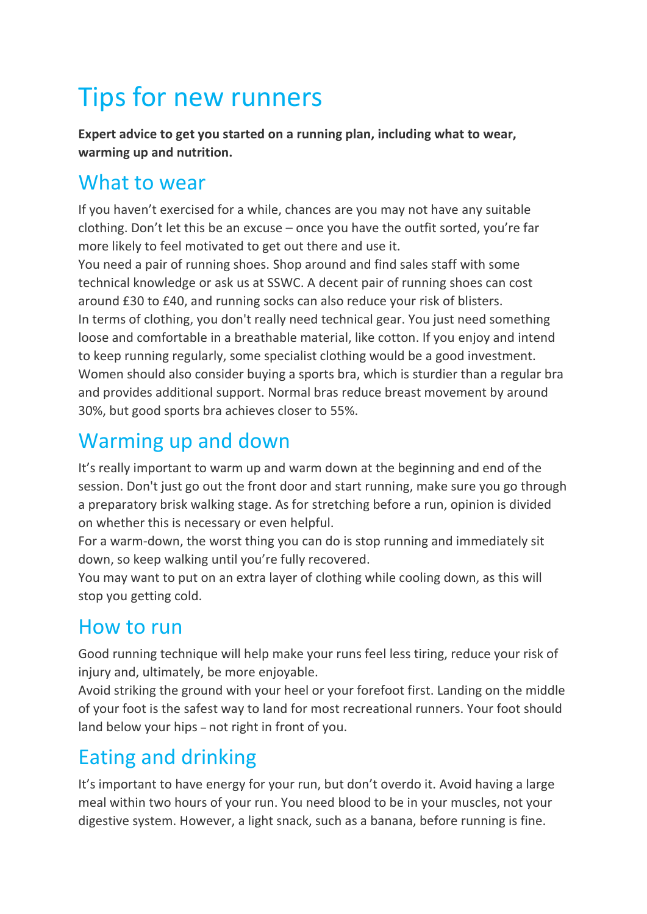# Tips for new runners

**Expert advice to get you started on a running plan, including what to wear, warming up and nutrition.**

#### What to wear

If you haven't exercised for a while, chances are you may not have any suitable clothing. Don't let this be an excuse – once you have the outfit sorted, you're far more likely to feel motivated to get out there and use it.

You need a pair of running shoes. Shop around and find sales staff with some technical knowledge or ask us at SSWC. A decent pair of running shoes can cost around £30 to £40, and running socks can also reduce your risk of blisters. In terms of clothing, you don't really need technical gear. You just need something loose and comfortable in a breathable material, like cotton. If you enjoy and intend to keep running regularly, some specialist clothing would be a good investment. Women should also consider buying a sports bra, which is sturdier than a regular bra and provides additional support. Normal bras reduce breast movement by around 30%, but good sports bra achieves closer to 55%.

### Warming up and down

It's really important to warm up and warm down at the beginning and end of the session. Don't just go out the front door and start running, make sure you go through a preparatory brisk walking stage. As for stretching before a run, opinion is divided on whether this is necessary or even helpful.

For a warm-down, the worst thing you can do is stop running and immediately sit down, so keep walking until you're fully recovered.

You may want to put on an extra layer of clothing while cooling down, as this will stop you getting cold.

### How to run

Good running technique will help make your runs feel less tiring, reduce your risk of injury and, ultimately, be more enjoyable.

Avoid striking the ground with your heel or your forefoot first. Landing on the middle of your foot is the safest way to land for most recreational runners. Your foot should land below your hips – not right in front of you.

## Eating and drinking

It's important to have energy for your run, but don't overdo it. Avoid having a large meal within two hours of your run. You need blood to be in your muscles, not your digestive system. However, a light snack, such as a banana, before running is fine.